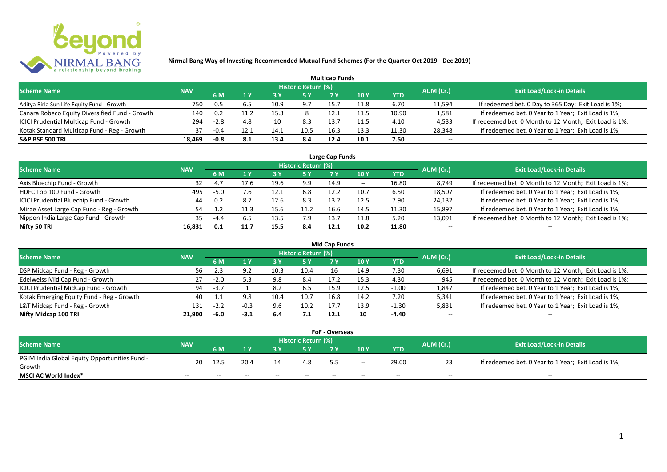

|                                                |            |        |      |      |                            | <b>Multicap Funds</b> |                 |            |           |                                                        |
|------------------------------------------------|------------|--------|------|------|----------------------------|-----------------------|-----------------|------------|-----------|--------------------------------------------------------|
| <b>Scheme Name</b>                             | <b>NAV</b> |        |      |      | <b>Historic Return (%)</b> |                       |                 |            | AUM (Cr.) | <b>Exit Load/Lock-in Details</b>                       |
|                                                |            | 6 M    |      | 73 Y |                            |                       | 10 <sub>Y</sub> | <b>YTD</b> |           |                                                        |
| Aditya Birla Sun Life Equity Fund - Growth     | 750        | 0.5    |      | 10.9 | 9.7                        | 15.7                  | 11.8            | 6.70       | 11,594    | If redeemed bet. 0 Day to 365 Day; Exit Load is 1%;    |
| Canara Robeco Equity Diversified Fund - Growth | 140        | 0.2    | 11.2 | 15.3 |                            | 12.1                  | 11.5            | 10.90      | 1,581     | If redeemed bet. 0 Year to 1 Year; Exit Load is 1%;    |
| ICICI Prudential Multicap Fund - Growth        | 294        | $-2.8$ | 4.8  | 10   | 8.3                        | 13.7                  | 11.5            | 4.10       | 4,533     | If redeemed bet. 0 Month to 12 Month; Exit Load is 1%; |
| Kotak Standard Multicap Fund - Reg - Growth    | 37         | $-0.4$ |      | 14.1 | 10.5                       | 16.3                  | 13.3            | 11.30      | 28,348    | If redeemed bet. 0 Year to 1 Year; Exit Load is 1%;    |
| <b>S&amp;P BSE 500 TRI</b>                     | 18.469     | $-0.8$ | 8.1  | 13.4 | 8.4                        | 12.4                  | 10.1            | 7.50       | $- -$     | --                                                     |

| Large Cap Funds                           |            |        |      |      |                            |      |       |       |                          |                                                        |  |  |  |
|-------------------------------------------|------------|--------|------|------|----------------------------|------|-------|-------|--------------------------|--------------------------------------------------------|--|--|--|
| <b>Scheme Name</b>                        | <b>NAV</b> |        |      |      | <b>Historic Return (%)</b> |      |       |       | AUM (Cr.)                | <b>Exit Load/Lock-in Details</b>                       |  |  |  |
|                                           |            | 6 M    |      |      | 5 Y                        |      | 10 Y  | YTD   |                          |                                                        |  |  |  |
| Axis Bluechip Fund - Growth               | 32         |        | 17.6 | 19.6 | 9.9                        | 14.9 | $- -$ | 16.80 | 8,749                    | If redeemed bet. 0 Month to 12 Month; Exit Load is 1%; |  |  |  |
| HDFC Top 100 Fund - Growth                | 495        | $-5.0$ | 7.6  | 12.1 | 6.8                        | 12.2 | 10.7  | 6.50  | 18,507                   | If redeemed bet. 0 Year to 1 Year; Exit Load is 1%;    |  |  |  |
| ICICI Prudential Bluechip Fund - Growth   | 44         | 0.2    | 8.7  | 12.6 | 8.3                        | 13.2 | 12.5  | 7.90  | 24,132                   | If redeemed bet. 0 Year to 1 Year; Exit Load is 1%;    |  |  |  |
| Mirae Asset Large Cap Fund - Reg - Growth |            |        | 11.3 | 15.6 | 11.2                       | 16.6 | 14.5  | 11.30 | 15,897                   | If redeemed bet. 0 Year to 1 Year; Exit Load is 1%;    |  |  |  |
| Nippon India Large Cap Fund - Growth      | 35.        | -4.4   | 6.5  | 13.5 | 7.9                        | 13.7 | 11.8  | 5.20  | 13,091                   | If redeemed bet. 0 Month to 12 Month; Exit Load is 1%; |  |  |  |
| Nifty 50 TRI                              | 16,831     | 0.1    | 11.7 | 15.5 | 8.4                        | 12.1 | 10.2  | 11.80 | $\overline{\phantom{a}}$ |                                                        |  |  |  |

| <b>Mid Cap Funds</b>                      |            |        |        |      |                            |      |      |            |           |                                                        |  |  |  |
|-------------------------------------------|------------|--------|--------|------|----------------------------|------|------|------------|-----------|--------------------------------------------------------|--|--|--|
| <b>Scheme Name</b>                        | <b>NAV</b> |        |        |      | <b>Historic Return (%)</b> |      |      |            | AUM (Cr.) | <b>Exit Load/Lock-in Details</b>                       |  |  |  |
|                                           |            | 6 M    |        |      | 5 Y                        | 7 Y  | 10 Y | <b>YTD</b> |           |                                                        |  |  |  |
| DSP Midcap Fund - Reg - Growth            | 56         | 2.3    | 9.2    | 10.3 | 10.4                       |      | 14.9 | 7.30       | 6,691     | If redeemed bet. 0 Month to 12 Month; Exit Load is 1%; |  |  |  |
| Edelweiss Mid Cap Fund - Growth           | 27         | $-2.0$ |        | 9.8  | 8.4                        | 17.2 | 15.3 | 4.30       | 945       | If redeemed bet. 0 Month to 12 Month; Exit Load is 1%; |  |  |  |
| ICICI Prudential MidCap Fund - Growth     | 94         | $-3.7$ |        | 8.2  | 6.5                        | 15.9 | 12.5 | $-1.00$    | 1,847     | If redeemed bet. 0 Year to 1 Year; Exit Load is 1%;    |  |  |  |
| Kotak Emerging Equity Fund - Reg - Growth | 40         |        | 9.8    | 10.4 | 10.7                       | 16.8 | 14.2 | 7.20       | 5,341     | If redeemed bet. 0 Year to 1 Year; Exit Load is 1%;    |  |  |  |
| L&T Midcap Fund - Reg - Growth            | 131        | $-2.2$ | $-0.3$ | 9.6  | 10.2                       | 17.7 | 13.9 | $-1.30$    | 5,831     | If redeemed bet. 0 Year to 1 Year; Exit Load is 1%;    |  |  |  |
| Nifty Midcap 100 TRI                      | 21.900     | -6.0   | $-3.1$ | 6.4  | 7.1                        | 12.1 | 10   | -4.40      | $- -$     | $- -$                                                  |  |  |  |

| <b>FoF - Overseas</b>                         |            |                                  |       |       |       |       |       |       |                                  |                                                     |  |  |  |
|-----------------------------------------------|------------|----------------------------------|-------|-------|-------|-------|-------|-------|----------------------------------|-----------------------------------------------------|--|--|--|
| <b>Scheme Name</b>                            | <b>NAV</b> | Historic Return (%)<br>AUM (Cr.) |       |       |       |       |       |       | <b>Exit Load/Lock-in Details</b> |                                                     |  |  |  |
|                                               |            | 6 M                              |       |       |       |       | 10Y   | YTD   |                                  |                                                     |  |  |  |
| PGIM India Global Equity Opportunities Fund - | 20         | 12.5                             | 20.4  | 14    | 4.8   |       |       | 29.00 |                                  | If redeemed bet. 0 Year to 1 Year; Exit Load is 1%; |  |  |  |
| Growth                                        |            |                                  |       |       |       |       | $- -$ |       |                                  |                                                     |  |  |  |
| MSCI AC World Index*                          | $- -$      | $- -$                            | $- -$ | $- -$ | $- -$ | $- -$ | $- -$ | $- -$ | $- -$                            | $- -$                                               |  |  |  |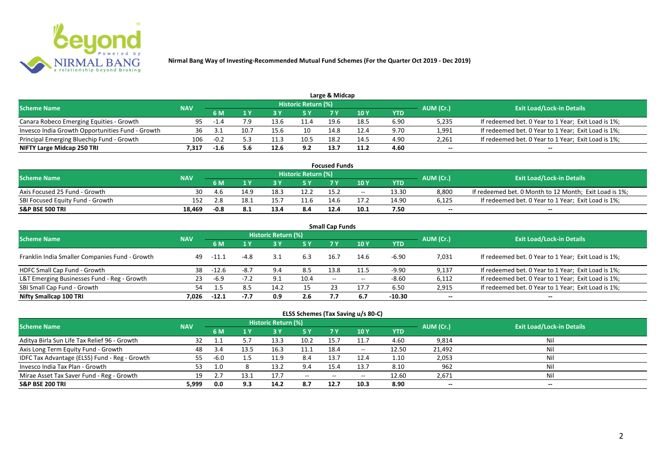

| <b>Scheme Name</b>                               | <b>NAV</b> |        |      |      | Historic Return (%) |      |      |      | AUM (Cr.) | <b>Exit Load/Lock-in Details</b>                    |
|--------------------------------------------------|------------|--------|------|------|---------------------|------|------|------|-----------|-----------------------------------------------------|
|                                                  |            |        |      |      | 5 Y                 |      |      | YTD  |           |                                                     |
| Canara Robeco Emerging Equities - Growth         | 95.        | -1.4   |      | 13.6 |                     | 19.6 | 18.5 | 6.90 | 5,235     | If redeemed bet. 0 Year to 1 Year; Exit Load is 1%; |
| Invesco India Growth Opportunities Fund - Growth | 36         |        | 10.7 | 15.6 | 10                  | 14.8 | 12.4 | 9.70 | 1,991     | If redeemed bet. 0 Year to 1 Year; Exit Load is 1%; |
| Principal Emerging Bluechip Fund - Growth        | 106        | $-0.2$ |      |      | 10.5                | 18.2 | 14.5 | 4.90 | 2,261     | If redeemed bet. 0 Year to 1 Year; Exit Load is 1%; |
| NIFTY Large Midcap 250 TRI                       | .317       | $-1.6$ |      | 12.6 | 9.2                 | 13.  | 11.2 | 4.60 | $- -$     | $-$                                                 |

| <b>Focused Funds</b>             |            |        |      |      |                            |      |            |       |           |                                                        |  |  |  |
|----------------------------------|------------|--------|------|------|----------------------------|------|------------|-------|-----------|--------------------------------------------------------|--|--|--|
| <b>Scheme Name</b>               | <b>NAV</b> |        |      |      | <b>Historic Return (%)</b> |      |            |       | AUM (Cr.) | <b>Exit Load/Lock-in Details</b>                       |  |  |  |
|                                  |            | 6 M    |      |      | 5 Y                        |      | <b>10Y</b> | YTD   |           |                                                        |  |  |  |
| Axis Focused 25 Fund - Growth    | 30         | -4.6   | 14.9 | 18.5 | 12.2                       | 15.2 | $- -$      | 13.30 | 8,800     | If redeemed bet. 0 Month to 12 Month; Exit Load is 1%; |  |  |  |
| SBI Focused Equity Fund - Growth | 152        |        | 18.1 |      |                            | 14.  |            | 14.90 | 6,125     | If redeemed bet. 0 Year to 1 Year; Exit Load is 1%;    |  |  |  |
| <b>S&amp;P BSE 500 TRI</b>       | 18.469     | $-0.8$ | 0. L | 13.4 | 8.4                        | 12.4 | 10.1       | 7.50  | $- -$     | $- -$                                                  |  |  |  |

| <b>Small Cap Funds</b>                         |            |         |        |                     |      |       |       |            |           |                                                     |  |  |  |
|------------------------------------------------|------------|---------|--------|---------------------|------|-------|-------|------------|-----------|-----------------------------------------------------|--|--|--|
| <b>Scheme Name</b>                             | <b>NAV</b> |         |        | Historic Return (%) |      |       |       |            | AUM (Cr.) | <b>Exit Load/Lock-in Details</b>                    |  |  |  |
|                                                | 6 M        |         | 1 Y    | <b>3Y</b>           | 5 Y  | 7 Y   | 10Y   | <b>YTD</b> |           |                                                     |  |  |  |
| Franklin India Smaller Companies Fund - Growth | 49         | -11.1   | -4.8   | 3.1                 | 6.3  | 16.7  | 14.6  | $-6.90$    | 7,031     | If redeemed bet. 0 Year to 1 Year; Exit Load is 1%; |  |  |  |
| HDFC Small Cap Fund - Growth                   | 38         | $-12.6$ | $-8.7$ | 9.4                 | 8.5  | 13.8  |       | $-9.90$    | 9,137     | If redeemed bet. 0 Year to 1 Year; Exit Load is 1%; |  |  |  |
| L&T Emerging Businesses Fund - Reg - Growth    | 23         | $-6.9$  | $-7.2$ | 9.1                 | 10.4 | $- -$ | $- -$ | $-8.60$    | 6,112     | If redeemed bet. 0 Year to 1 Year; Exit Load is 1%; |  |  |  |
| SBI Small Cap Fund - Growth                    | 54         |         | 8.5    | 14.2                |      |       | 17.7  | 6.50       | 2,915     | If redeemed bet. 0 Year to 1 Year; Exit Load is 1%; |  |  |  |
| Nifty Smallcap 100 TRI                         | 7.026      | $-12.1$ | $-7.7$ | 0.9                 | 2.6  | 7.7   | 6.7   | $-10.30$   | $- -$     | $- -$                                               |  |  |  |

## **ELSS Schemes (Tax Saving u/s 80-C)**

| <b>Scheme Name</b>                            | <b>NAV</b> |        |      | Historic Return (%) |        |      |                          |       | AUM (Cr.) | <b>Exit Load/Lock-in Details</b> |
|-----------------------------------------------|------------|--------|------|---------------------|--------|------|--------------------------|-------|-----------|----------------------------------|
|                                               |            | 6 M    | 1 Y  |                     | 5 Y    | 7 Y  | 10 Y                     | YTD   |           |                                  |
| Aditya Birla Sun Life Tax Relief 96 - Growth  |            |        |      | 13.3                | 10.2   | 15.  |                          | 4.60  | 9,814     | Ni                               |
| Axis Long Term Equity Fund - Growth           | 48         | 3.4    | 13.5 | 16.3                | 11.1   | 18.4 | $\overline{\phantom{a}}$ | 12.50 | 21,492    | Nil                              |
| IDFC Tax Advantage (ELSS) Fund - Reg - Growth |            | -6.0   |      | 11.9                | 8.4    | 13.7 | 12.4                     | 1.10  | 2,053     | Nil                              |
| Invesco India Tax Plan - Growth               | 53         |        |      | 13.2                | 9.4    | 15.4 | 13.7                     | 8.10  | 962       | Nil                              |
| Mirae Asset Tax Saver Fund - Reg - Growth     | 19         | $\sim$ | 13.1 | 17.7                | $  \,$ | $-$  | $\overline{\phantom{a}}$ | 12.60 | 2,671     | Nil                              |
| <b>S&amp;P BSE 200 TRI</b>                    | 5.999      | 0.0    | 9.3  | 14.2                | 8.7    | 12.7 | 10.3                     | 8.90  | $- -$     | $- -$                            |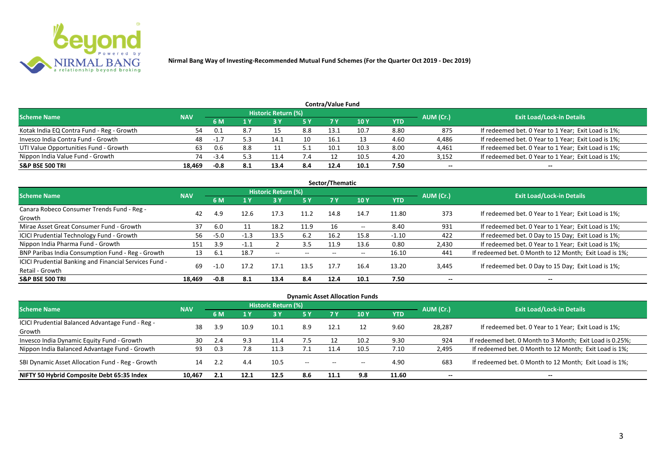

| <b>Contra/Value Fund</b>                  |            |        |     |                            |     |      |      |      |                          |                                                     |  |  |  |
|-------------------------------------------|------------|--------|-----|----------------------------|-----|------|------|------|--------------------------|-----------------------------------------------------|--|--|--|
| <b>Scheme Name</b>                        | <b>NAV</b> |        |     | <b>Historic Return (%)</b> |     |      |      |      | AUM (Cr.)                | <b>Exit Load/Lock-in Details</b>                    |  |  |  |
|                                           |            | 6 M    |     |                            | 5 Y | 7 Y  | 10Y  | YTD  |                          |                                                     |  |  |  |
| Kotak India EQ Contra Fund - Reg - Growth | 54         | 0.1    |     |                            | 8.8 | 13.1 | 10.7 | 8.80 | 875                      | If redeemed bet. 0 Year to 1 Year; Exit Load is 1%; |  |  |  |
| Invesco India Contra Fund - Growth        | 48         | $-1.7$ |     | 14.1                       | 10  | 16.1 |      | 4.60 | 4,486                    | If redeemed bet. 0 Year to 1 Year; Exit Load is 1%; |  |  |  |
| UTI Value Opportunities Fund - Growth     | 63         | 0.6    | 8.8 |                            |     | 10.1 | 10.3 | 8.00 | 4,461                    | If redeemed bet. 0 Year to 1 Year; Exit Load is 1%; |  |  |  |
| Nippon India Value Fund - Growth          | 74         | -3.4   |     | 11.4                       | 7.4 |      | 10.5 | 4.20 | 3,152                    | If redeemed bet. 0 Year to 1 Year; Exit Load is 1%; |  |  |  |
| <b>S&amp;P BSE 500 TRI</b>                | 18.469     | -0.8   | 8.1 | 13.4                       | 8.4 | 12.4 | 10.1 | 7.50 | $\overline{\phantom{a}}$ | $- -$                                               |  |  |  |

|                                                        |            |        |        |                     |       | Sector/Thematic |                          |            |           |                                                        |
|--------------------------------------------------------|------------|--------|--------|---------------------|-------|-----------------|--------------------------|------------|-----------|--------------------------------------------------------|
| <b>Scheme Name</b>                                     | <b>NAV</b> |        |        | Historic Return (%) |       |                 |                          |            | AUM (Cr.) | <b>Exit Load/Lock-in Details</b>                       |
|                                                        |            | 6 M    | 1 Y    | 73 Y                | 5 Y   |                 | 10Y                      | <b>YTD</b> |           |                                                        |
| Canara Robeco Consumer Trends Fund - Reg -             | 42         | 4.9    |        | 17.3                | 11.2  | 14.8            | 14.7                     |            | 373       |                                                        |
| Growth                                                 |            |        | 12.6   |                     |       |                 |                          | 11.80      |           | If redeemed bet. 0 Year to 1 Year; Exit Load is 1%;    |
| Mirae Asset Great Consumer Fund - Growth               | 37         | 6.0    |        | 18.2                | 11.9  | 16              | $\overline{\phantom{a}}$ | 8.40       | 931       | If redeemed bet. 0 Year to 1 Year; Exit Load is 1%;    |
| <b>ICICI Prudential Technology Fund - Growth</b>       | 56         | $-5.0$ | $-1.3$ | 13.5                | 6.2   | 16.2            | 15.8                     | $-1.10$    | 422       | If redeemed bet. 0 Day to 15 Day; Exit Load is 1%;     |
| Nippon India Pharma Fund - Growth                      | 151        | 3.9    | $-1.1$ |                     | 3.5   | 11.9            | 13.6                     | 0.80       | 2,430     | If redeemed bet. 0 Year to 1 Year; Exit Load is 1%;    |
| BNP Paribas India Consumption Fund - Reg - Growth      | 13         | -6.1   | 18.7   | $- -$               | $- -$ |                 | $- -$                    | 16.10      | 441       | If redeemed bet. 0 Month to 12 Month; Exit Load is 1%; |
| ICICI Prudential Banking and Financial Services Fund - | 69         |        | 17.2   | 17.1                | 13.5  | 17.7            | 16.4                     | 13.20      |           |                                                        |
| Retail - Growth                                        |            | $-1.0$ |        |                     |       |                 |                          |            | 3,445     | If redeemed bet. 0 Day to 15 Day; Exit Load is 1%;     |
| <b>S&amp;P BSE 500 TRI</b>                             | 18.469     | $-0.8$ | 8.1    | 13.4                | 8.4   | 12.4            | 10.1                     | 7.50       | --        | $- -$                                                  |

| <b>Dynamic Asset Allocation Funds</b>            |            |           |              |                            |                          |                          |            |            |           |                                                          |  |  |  |
|--------------------------------------------------|------------|-----------|--------------|----------------------------|--------------------------|--------------------------|------------|------------|-----------|----------------------------------------------------------|--|--|--|
| <b>Scheme Name</b>                               | <b>NAV</b> |           |              | <b>Historic Return (%)</b> |                          |                          |            |            | AUM (Cr.) | <b>Exit Load/Lock-in Details</b>                         |  |  |  |
|                                                  |            | <b>6M</b> | $\sqrt{1}$ Y |                            | 5 Y                      | <b>7Y</b>                | <b>10Y</b> | <b>YTD</b> |           |                                                          |  |  |  |
| ICICI Prudential Balanced Advantage Fund - Reg - | 38         | 3.9       | 10.9         | 10.1                       | 8.9                      | 12.1                     | 12         | 9.60       | 28,287    | If redeemed bet. 0 Year to 1 Year; Exit Load is 1%;      |  |  |  |
| Growth                                           |            |           |              |                            |                          |                          |            |            |           |                                                          |  |  |  |
| Invesco India Dynamic Equity Fund - Growth       | 30         | 2.4       | 9.3          | 11.4                       | 7.5                      |                          | 10.2       | 9.30       | 924       | If redeemed bet. 0 Month to 3 Month; Exit Load is 0.25%; |  |  |  |
| Nippon India Balanced Advantage Fund - Growth    | 93         | 0.3       | 7.8          | 11.3                       |                          | 11.4                     | 10.5       | 7.10       | 2,495     | If redeemed bet. 0 Month to 12 Month; Exit Load is 1%;   |  |  |  |
| SBI Dynamic Asset Allocation Fund - Reg - Growth | 14         |           | 4.4          | 10.5                       | $\overline{\phantom{a}}$ | $\overline{\phantom{a}}$ | $- -$      | 4.90       | 683       | If redeemed bet. 0 Month to 12 Month; Exit Load is 1%;   |  |  |  |
| NIFTY 50 Hybrid Composite Debt 65:35 Index       | 10.467     | 2.1       | 12.1         | 12.5                       | 8.6                      | 11.1                     | 9.8        | 11.60      | $- -$     | $- -$                                                    |  |  |  |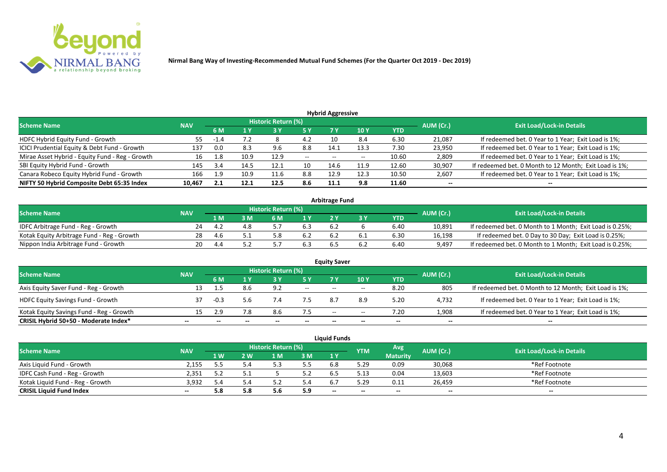

| <b>Hybrid Aggressive</b>                        |            |      |      |                            |       |                          |      |            |           |                                                        |  |  |  |
|-------------------------------------------------|------------|------|------|----------------------------|-------|--------------------------|------|------------|-----------|--------------------------------------------------------|--|--|--|
| <b>Scheme Name</b>                              | <b>NAV</b> |      |      | <b>Historic Return (%)</b> |       |                          |      |            | AUM (Cr.) | <b>Exit Load/Lock-in Details</b>                       |  |  |  |
|                                                 |            | 6 M  |      |                            | 5 Y   |                          | 10Y  | <b>YTD</b> |           |                                                        |  |  |  |
| HDFC Hybrid Equity Fund - Growth                | 55         | -1.4 | 4.2  |                            | 4.2   |                          | 8.4  | 6.30       | 21,087    | If redeemed bet. 0 Year to 1 Year; Exit Load is 1%;    |  |  |  |
| ICICI Prudential Equity & Debt Fund - Growth    | 137        | 0.0  | 8.3  | 9.6                        | 8.8   | 14.1                     | 13.3 | 7.30       | 23,950    | If redeemed bet. 0 Year to 1 Year; Exit Load is 1%;    |  |  |  |
| Mirae Asset Hybrid - Equity Fund - Reg - Growth | 16         | 1.8  | 10.9 | 12.9                       | $- -$ | $\overline{\phantom{a}}$ | --   | 10.60      | 2,809     | If redeemed bet. 0 Year to 1 Year; Exit Load is 1%;    |  |  |  |
| SBI Equity Hybrid Fund - Growth                 | 145        | 3.4  | 14.5 | 12.1                       | 10    | 14.6                     | 11.9 | 12.60      | 30,907    | If redeemed bet. 0 Month to 12 Month; Exit Load is 1%; |  |  |  |
| Canara Robeco Equity Hybrid Fund - Growth       | 166        | 1.9  | 10.9 | 11.6                       | 8.8   | 12.9                     | 12.3 | 10.50      | 2,607     | If redeemed bet. 0 Year to 1 Year; Exit Load is 1%;    |  |  |  |
| NIFTY 50 Hybrid Composite Debt 65:35 Index      | 10,467     | 2.1  | 12.1 | 12.5                       | 8.6   | 11.1                     | 9.8  | 11.60      | $- -$     | $- -$                                                  |  |  |  |

| <b>Arbitrage Fund</b>                      |            |     |   |                     |     |     |     |      |           |                                                          |  |  |  |
|--------------------------------------------|------------|-----|---|---------------------|-----|-----|-----|------|-----------|----------------------------------------------------------|--|--|--|
| <b>Scheme Name</b>                         | <b>NAV</b> |     |   | Historic Return (%) |     |     |     |      | AUM (Cr.) | <b>Exit Load/Lock-in Details</b>                         |  |  |  |
|                                            |            | l M | M | ົ M                 | 1 V |     |     | YTD  |           |                                                          |  |  |  |
| IDFC Arbitrage Fund - Reg - Growth         | 24         | 4.4 |   |                     | 6.3 | 6.2 |     | 6.40 | 10.891    | If redeemed bet. 0 Month to 1 Month; Exit Load is 0.25%; |  |  |  |
| Kotak Equity Arbitrage Fund - Reg - Growth | 28         |     |   |                     | 6.2 | 6.2 | b.1 | 6.30 | 16.198    | If redeemed bet. 0 Day to 30 Day; Exit Load is 0.25%;    |  |  |  |
| Nippon India Arbitrage Fund - Growth       |            |     |   |                     |     |     | b.∠ | 6.40 | 9,497     | If redeemed bet. 0 Month to 1 Month; Exit Load is 0.25%; |  |  |  |

|                                          |            |        |     | <b>Historic Return (%)</b> |       | <b>Equity Saver</b> |       |        |           |                                                        |
|------------------------------------------|------------|--------|-----|----------------------------|-------|---------------------|-------|--------|-----------|--------------------------------------------------------|
| <b>Scheme Name</b>                       | <b>NAV</b> |        |     |                            | 5 Y   |                     | 10Y   | YTD    | AUM (Cr.) | <b>Exit Load/Lock-in Details</b>                       |
| Axis Equity Saver Fund - Reg - Growth    | 13         |        | 8.6 | 9.2                        | $ -$  | $- -$               | $- -$ | 8.20   | 805       | If redeemed bet. 0 Month to 12 Month; Exit Load is 1%; |
| <b>HDFC Equity Savings Fund - Growth</b> |            | $-0.3$ | 5.6 | 7.4                        |       |                     | 8.9   | 5.20   | 4,732     | If redeemed bet. 0 Year to 1 Year; Exit Load is 1%;    |
| Kotak Equity Savings Fund - Reg - Growth | 15         |        | 7.8 |                            | 7.5   | $-$                 | $- -$ | 7.20   | 1,908     | If redeemed bet. 0 Year to 1 Year; Exit Load is 1%;    |
| CRISIL Hybrid 50+50 - Moderate Index*    | --         |        |     |                            | $- -$ | $- -$               | --    | $\sim$ | $- -$     | $-$                                                    |

|                                  |            |     |     |                            |     | <b>Liquid Funds</b> |                          |                 |           |                                  |
|----------------------------------|------------|-----|-----|----------------------------|-----|---------------------|--------------------------|-----------------|-----------|----------------------------------|
| <b>Scheme Name</b>               | <b>NAV</b> |     |     | <b>Historic Return (%)</b> |     |                     | <b>YTM</b>               | Avg             | AUM (Cr.) | <b>Exit Load/Lock-in Details</b> |
|                                  |            | 1 W | ' W | ιN                         | 3M  | 1 Y                 |                          | <b>Maturity</b> |           |                                  |
| Axis Liquid Fund - Growth        | 2,155      |     |     | .                          | 5.5 | 6.8                 | 5.29                     | 0.09            | 30,068    | *Ref Footnote                    |
| IDFC Cash Fund - Reg - Growth    | 2,351      |     |     |                            |     | 6.5                 | 5.13                     | 0.04            | 13,603    | *Ref Footnote                    |
| Kotak Liquid Fund - Reg - Growth | 3,932      | 4.د |     |                            | 5.4 |                     | 5.29                     | 0.11            | 26,459    | *Ref Footnote                    |
| <b>CRISIL Liquid Fund Index</b>  | $- -$      | 5.8 | 5.8 | 5.6                        | 5.9 | $-$                 | $\overline{\phantom{a}}$ | $- -$           | $- -$     | $\overline{\phantom{a}}$         |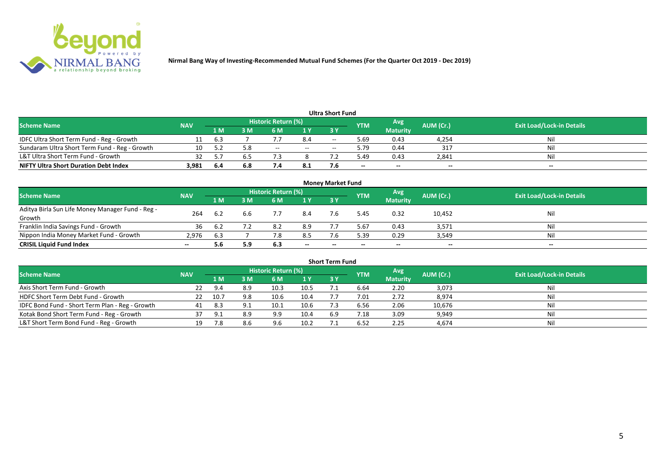

|                                               |            |      |     |                     |        | <b>Ultra Short Fund</b>                        |            |                 |           |                                  |
|-----------------------------------------------|------------|------|-----|---------------------|--------|------------------------------------------------|------------|-----------------|-----------|----------------------------------|
| <b>Scheme Name</b>                            | <b>NAV</b> |      |     | Historic Return (%) |        |                                                | <b>YTM</b> | Avg             | AUM (Cr.) | <b>Exit Load/Lock-in Details</b> |
|                                               |            | 1 M  | 3 M | 6 M                 | 1 Y    | 73 Y                                           |            | <b>Maturity</b> |           |                                  |
| IDFC Ultra Short Term Fund - Reg - Growth     |            | 6.3  |     |                     | 8.4    | $\hspace{0.1mm}-\hspace{0.1mm}-\hspace{0.1mm}$ | 5.69       | 0.43            | 4,254     | Nil                              |
| Sundaram Ultra Short Term Fund - Reg - Growth | 10         |      | 5.8 | $- -$               | $  \,$ | $\overline{\phantom{a}}$                       | 5.79       | 0.44            | 317       | Nil                              |
| L&T Ultra Short Term Fund - Growth            | 32         |      |     |                     |        |                                                | 49.د       | 0.43            | 2,841     | Nil                              |
| <b>NIFTY Ultra Short Duration Debt Index</b>  | 3,981      | -6.4 | 6.8 |                     | 8.1    |                                                | $- -$      | $-$             | $-$       | $- -$                            |

| <b>Money Market Fund</b>                         |            |                |     |                     |       |           |            |                 |           |                                  |  |  |  |
|--------------------------------------------------|------------|----------------|-----|---------------------|-------|-----------|------------|-----------------|-----------|----------------------------------|--|--|--|
| <b>Scheme Name</b>                               | <b>NAV</b> |                |     | Historic Return (%) |       |           | <b>YTM</b> | <b>Avg</b>      | AUM (Cr.) | <b>Exit Load/Lock-in Details</b> |  |  |  |
|                                                  |            | 1 <sub>M</sub> | ЗM  | 6 M                 | 1Y    | <b>3Y</b> |            | <b>Maturity</b> |           |                                  |  |  |  |
| Aditya Birla Sun Life Money Manager Fund - Reg - | 264        | 6.2            | 6.6 |                     | 8.4   |           | 5.45       | 0.32            | 10,452    | Nil                              |  |  |  |
| Growth                                           |            |                |     |                     |       |           |            |                 |           |                                  |  |  |  |
| Franklin India Savings Fund - Growth             | 36         |                |     | 8.2                 | 8.9   |           | 5.67       | 0.43            | 3,571     | Nil                              |  |  |  |
| Nippon India Money Market Fund - Growth          | 2.976      | 6.3            |     |                     | 8.5   |           | 5.39       | 0.29            | 3,549     | Ni!                              |  |  |  |
| <b>CRISIL Liquid Fund Index</b>                  |            | 5.6            | 5.9 | 6.3                 | $- -$ | --        | --         | $- -$           | $- -$     | $- -$                            |  |  |  |

|                                                 |            |      |     |                            |      | <b>Short Term Fund</b> |            |                 |           |                                  |
|-------------------------------------------------|------------|------|-----|----------------------------|------|------------------------|------------|-----------------|-----------|----------------------------------|
| <b>Scheme Name</b>                              | <b>NAV</b> |      |     | <b>Historic Return (%)</b> |      |                        | <b>YTM</b> | Avg             | AUM (Cr.) | <b>Exit Load/Lock-in Details</b> |
|                                                 |            | 1 M  | 3 M | 6 M                        | 1Y   | 3 Y                    |            | <b>Maturity</b> |           |                                  |
| Axis Short Term Fund - Growth                   | 22         | 9.4  | 8.9 | 10.3                       | 10.5 |                        | 6.64       | 2.20            | 3,073     | Ni                               |
| HDFC Short Term Debt Fund - Growth              | 22         | 10.7 | 9.8 | 10.6                       | 10.4 |                        | 7.01       | 2.72            | 8,974     | Nil                              |
| IDFC Bond Fund - Short Term Plan - Reg - Growth | 41         | 8.3  |     | 10.1                       | 10.6 |                        | 6.56       | 2.06            | 10,676    | Nil                              |
| Kotak Bond Short Term Fund - Reg - Growth       |            | 9.1  | 8.9 | 9.9                        | 10.4 | 6.9                    | 7.18       | 3.09            | 9,949     | Ni                               |
| L&T Short Term Bond Fund - Reg - Growth         | 19         | 7.8  |     | 9 R                        | 10.2 |                        | 6.52       | 2.25            | 4.674     | Ni                               |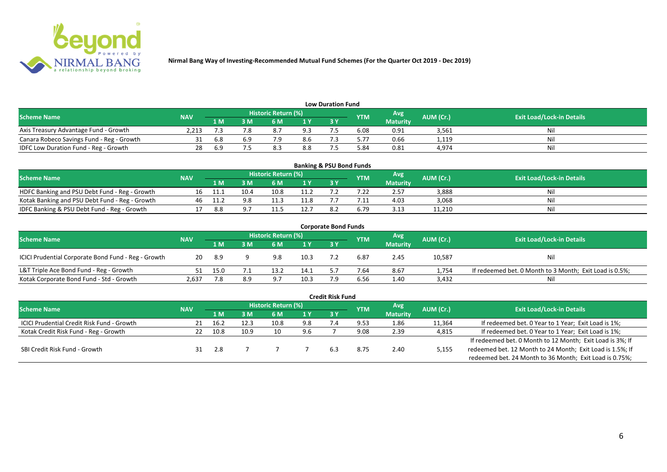

| <b>Low Duration Fund</b>                  |            |     |     |                            |     |  |            |                 |           |                                  |  |  |  |  |
|-------------------------------------------|------------|-----|-----|----------------------------|-----|--|------------|-----------------|-----------|----------------------------------|--|--|--|--|
| <b>Scheme Name</b>                        | <b>NAV</b> |     |     | <b>Historic Return (%)</b> |     |  | <b>YTM</b> | <b>Avg</b>      | AUM (Cr.) | <b>Exit Load/Lock-in Details</b> |  |  |  |  |
|                                           |            | 1 M | 3 M |                            | 1Y  |  |            | <b>Maturity</b> |           |                                  |  |  |  |  |
| Axis Treasury Advantage Fund - Growth     | 2.213      |     |     | $\circ$ . /                | 9.3 |  | 6.08       | 0.91            | 3,561     | Ni                               |  |  |  |  |
| Canara Robeco Savings Fund - Reg - Growth |            | 6.8 |     |                            | 8.6 |  | 5.77       | 0.66            | 1,119     |                                  |  |  |  |  |
| IDFC Low Duration Fund - Reg - Growth     |            | 6.9 |     |                            | 8.8 |  | .84        | 0.81            | 4,974     | Ni.                              |  |  |  |  |

| <b>Banking &amp; PSU Bond Funds</b>                                                                                                  |  |     |      |      |      |      |            |                 |        |    |  |  |  |
|--------------------------------------------------------------------------------------------------------------------------------------|--|-----|------|------|------|------|------------|-----------------|--------|----|--|--|--|
| <b>Historic Return (%)</b><br>Avg<br><b>Exit Load/Lock-in Details</b><br>AUM (Cr.)<br><b>Scheme Name</b><br><b>NAV</b><br><b>YTM</b> |  |     |      |      |      |      |            |                 |        |    |  |  |  |
|                                                                                                                                      |  | 1 M | : M  | 6 M  |      | 73 Y |            | <b>Maturity</b> |        |    |  |  |  |
| HDFC Banking and PSU Debt Fund - Reg - Growth                                                                                        |  |     | 10.4 | 10.8 |      |      |            | 2.57            | 3,888  |    |  |  |  |
| Kotak Banking and PSU Debt Fund - Reg - Growth                                                                                       |  |     |      |      | 11.8 |      | $\cdot$ 1: | 4.03            | 3,068  | N  |  |  |  |
| IDFC Banking & PSU Debt Fund - Reg - Growth                                                                                          |  | 8.8 |      |      | 12.7 | 8.2  | o.79       | 3.13            | 11,210 | Ni |  |  |  |

| <b>Corporate Bond Funds</b>                         |            |      |     |                     |                |     |            |                 |           |                                                         |  |  |  |  |
|-----------------------------------------------------|------------|------|-----|---------------------|----------------|-----|------------|-----------------|-----------|---------------------------------------------------------|--|--|--|--|
| <b>Scheme Name</b>                                  | <b>NAV</b> |      |     | Historic Return (%) |                |     | <b>YTM</b> | Avg'            | AUM (Cr.) | <b>Exit Load/Lock-in Details</b>                        |  |  |  |  |
|                                                     |            | 1 M  | 3 M | 6 M                 | 1 <sup>Y</sup> | 3 Y |            | <b>Maturity</b> |           |                                                         |  |  |  |  |
| ICICI Prudential Corporate Bond Fund - Reg - Growth | 20         | -8.9 |     | 9.8                 | 10.3           |     | 6.87       | 2.45            | 10,587    | Nil                                                     |  |  |  |  |
| L&T Triple Ace Bond Fund - Reg - Growth             |            | 15.0 |     | 13.2                | 14.1           |     | 7.64       | 8.67            | 1,754     | If redeemed bet. 0 Month to 3 Month; Exit Load is 0.5%; |  |  |  |  |
| Kotak Corporate Bond Fund - Std - Growth            | 2,637      | .8   | 8.9 | -9.7                | 10.3           |     | 6.56       | 1.40            | 3,432     | Ni                                                      |  |  |  |  |

|                                            |            |      |      |                            |     | <b>Credit Risk Fund</b> |            |                 |           |                                                           |
|--------------------------------------------|------------|------|------|----------------------------|-----|-------------------------|------------|-----------------|-----------|-----------------------------------------------------------|
| <b>Scheme Name</b>                         | <b>NAV</b> |      |      | <b>Historic Return (%)</b> |     |                         | <b>YTM</b> | Avg             | AUM (Cr.) | <b>Exit Load/Lock-in Details</b>                          |
|                                            |            | 1 M  | 3 M  | 6 M                        | 1 Y | 3 Y                     |            | <b>Maturity</b> |           |                                                           |
| ICICI Prudential Credit Risk Fund - Growth | 21         | 16.2 | 12.3 | 10.8                       | 9.8 |                         | 9.53       | 1.86            | 11,364    | If redeemed bet. 0 Year to 1 Year; Exit Load is 1%;       |
| Kotak Credit Risk Fund - Reg - Growth      |            | 10.8 | 10.9 | 10                         | 9.6 |                         | 9.08       | 2.39            | 4,815     | If redeemed bet. 0 Year to 1 Year; Exit Load is 1%;       |
|                                            |            |      |      |                            |     |                         |            |                 |           | If redeemed bet. 0 Month to 12 Month; Exit Load is 3%; If |
| SBI Credit Risk Fund - Growth              |            | 2.8  |      |                            |     | 6.3                     | 8.75       | 2.40            | 5,155     | redeemed bet. 12 Month to 24 Month; Exit Load is 1.5%; If |
|                                            |            |      |      |                            |     |                         |            |                 |           | redeemed bet. 24 Month to 36 Month; Exit Load is 0.75%;   |